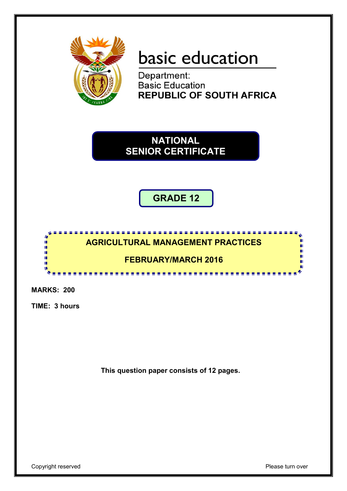

# basic education

Department: **Basic Education REPUBLIC OF SOUTH AFRICA** 

**NATIONAL SENIOR CERTIFICATE**

**GRADE 12**



**MARKS: 200**

**TIME: 3 hours**

**This question paper consists of 12 pages.**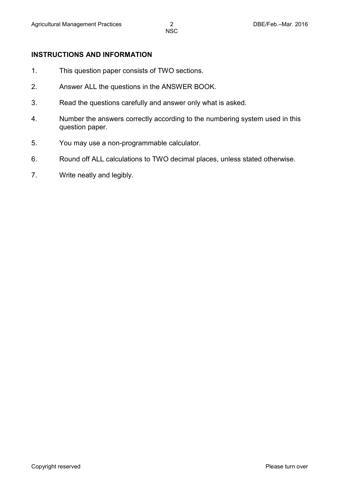# **INSTRUCTIONS AND INFORMATION**

- 1. This question paper consists of TWO sections.
- 2. Answer ALL the questions in the ANSWER BOOK.
- 3. Read the questions carefully and answer only what is asked.
- 4. Number the answers correctly according to the numbering system used in this question paper.
- 5. You may use a non-programmable calculator.
- 6. Round off ALL calculations to TWO decimal places, unless stated otherwise.
- 7. Write neatly and legibly.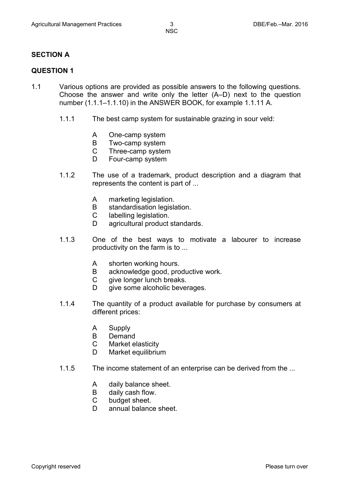# **SECTION A**

# **QUESTION 1**

- 1.1 Various options are provided as possible answers to the following questions. Choose the answer and write only the letter (A–D) next to the question number (1.1.1–1.1.10) in the ANSWER BOOK, for example 1.1.11 A.
	- 1.1.1 The best camp system for sustainable grazing in sour veld:
		- A One-camp system
		- B Two-camp system
		- $\mathcal{C}$ Three-camp system
		- D. Four-camp system
	- 1.1.2 The use of a trademark, product description and a diagram that represents the content is part of ...
		- A marketing legislation.
		- B standardisation legislation.
		- $\mathcal{C}$ labelling legislation.
		- D agricultural product standards.
	- 1.1.3 One of the best ways to motivate a labourer to increase productivity on the farm is to ...
		- A shorten working hours.
		- B acknowledge good, productive work.
		- $\overline{C}$ give longer lunch breaks.
		- D give some alcoholic beverages.
	- 1.1.4 The quantity of a product available for purchase by consumers at different prices:
		- A Supply
		- B Demand
		- $\mathcal{C}$ Market elasticity
		- D Market equilibrium
	- 1.1.5 The income statement of an enterprise can be derived from the ...
		- A daily balance sheet.
		- B daily cash flow.
		- $\mathsf{C}$ budget sheet.
		- D. annual balance sheet.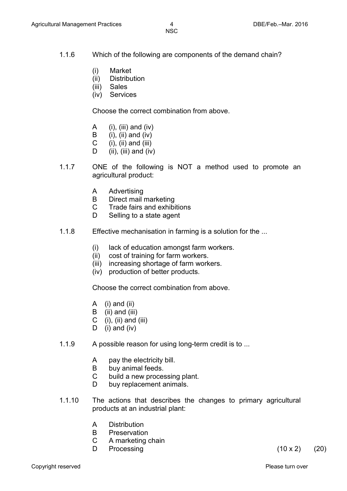- 1.1.6 Which of the following are components of the demand chain?
	- (i) Market
	- (ii) **Distribution**
	- (iii) Sales
	- (iv) Services

Choose the correct combination from above.

- A  $(i)$ ,  $(iii)$  and  $(iv)$
- B (i), (ii) and (iv)
- C  $(i)$ ,  $(ii)$  and  $(iii)$
- D  $(ii), (iii)$  and  $(iv)$
- 1.1.7 ONE of the following is NOT a method used to promote an agricultural product:
	- A Advertising
	- B Direct mail marketing
	- C Trade fairs and exhibitions
	- D. Selling to a state agent
- 1.1.8 Effective mechanisation in farming is a solution for the ...
	- (i) lack of education amongst farm workers.
	- (ii) cost of training for farm workers.
	- (iii) increasing shortage of farm workers.
	- (iv) production of better products.

Choose the correct combination from above.

- A (i) and (ii)
- B (ii) and (iii)
- C (i), (ii) and (iii)
- D (i) and (iv)
- 1.1.9 A possible reason for using long-term credit is to ...
	- A pay the electricity bill.
	- B buy animal feeds.
	- C build a new processing plant.
	- D buy replacement animals.
- 1.1.10 The actions that describes the changes to primary agricultural products at an industrial plant:
	- A **Distribution**
	- B Preservation
	- $\mathsf{C}$ A marketing chain
	- D

Processing  $(10 \times 2)$   $(20)$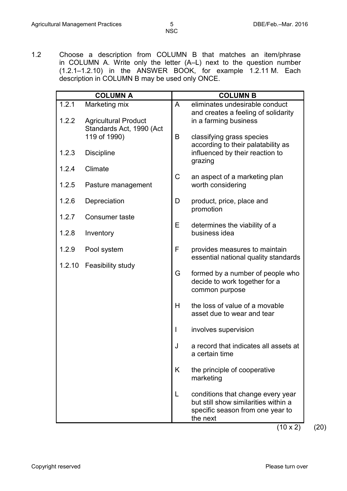1.2 Choose a description from COLUMN B that matches an item/phrase in COLUMN A. Write only the letter (A–L) next to the question number (1.2.1–1.2.10) in the ANSWER BOOK, for example 1.2.11 M. Each description in COLUMN B may be used only ONCE.

| <b>COLUMN A</b> |                                              |              | <b>COLUMN B</b>                                                                                                           |  |  |
|-----------------|----------------------------------------------|--------------|---------------------------------------------------------------------------------------------------------------------------|--|--|
| 1.2.1<br>1.2.2  | Marketing mix<br><b>Agricultural Product</b> | A            | eliminates undesirable conduct<br>and creates a feeling of solidarity<br>in a farming business                            |  |  |
|                 | Standards Act, 1990 (Act                     |              |                                                                                                                           |  |  |
| 1.2.3           | 119 of 1990)<br><b>Discipline</b>            | B            | classifying grass species<br>according to their palatability as<br>influenced by their reaction to                        |  |  |
| 1.2.4           | Climate                                      |              | grazing                                                                                                                   |  |  |
| 1.2.5           | Pasture management                           | $\mathsf C$  | an aspect of a marketing plan<br>worth considering                                                                        |  |  |
| 1.2.6           | Depreciation                                 | D            | product, price, place and<br>promotion                                                                                    |  |  |
| 1.2.7           | Consumer taste                               |              |                                                                                                                           |  |  |
| 1.2.8           | Inventory                                    | E            | determines the viability of a<br>business idea                                                                            |  |  |
| 1.2.9           | Pool system                                  | F            | provides measures to maintain<br>essential national quality standards                                                     |  |  |
|                 | 1.2.10 Feasibility study                     | G            | formed by a number of people who<br>decide to work together for a<br>common purpose                                       |  |  |
|                 |                                              | H            | the loss of value of a movable<br>asset due to wear and tear                                                              |  |  |
|                 |                                              | $\mathbf{I}$ | involves supervision                                                                                                      |  |  |
|                 |                                              | J            | a record that indicates all assets at<br>a certain time                                                                   |  |  |
|                 |                                              | K            | the principle of cooperative<br>marketing                                                                                 |  |  |
|                 |                                              | L            | conditions that change every year<br>but still show similarities within a<br>specific season from one year to<br>the next |  |  |

 $(10 \times 2)$   $(20)$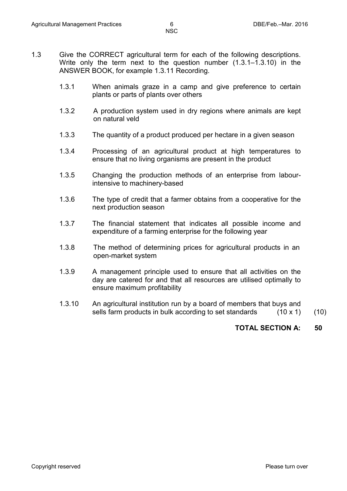- 1.3 Give the CORRECT agricultural term for each of the following descriptions. Write only the term next to the question number (1.3.1–1.3.10) in the ANSWER BOOK, for example 1.3.11 Recording.
	- 1.3.1 When animals graze in a camp and give preference to certain plants or parts of plants over others
	- 1.3.2 A production system used in dry regions where animals are kept on natural veld
	- 1.3.3 The quantity of a product produced per hectare in a given season
	- 1.3.4 Processing of an agricultural product at high temperatures to ensure that no living organisms are present in the product
	- 1.3.5 Changing the production methods of an enterprise from labourintensive to machinery-based
	- 1.3.6 The type of credit that a farmer obtains from a cooperative for the next production season
	- 1.3.7 The financial statement that indicates all possible income and expenditure of a farming enterprise for the following year
	- 1.3.8 The method of determining prices for agricultural products in an open-market system
	- 1.3.9 A management principle used to ensure that all activities on the day are catered for and that all resources are utilised optimally to ensure maximum profitability
	- 1.3.10 An agricultural institution run by a board of members that buys and sells farm products in bulk according to set standards  $(10 \times 1)$   $(10)$

**TOTAL SECTION A: 50**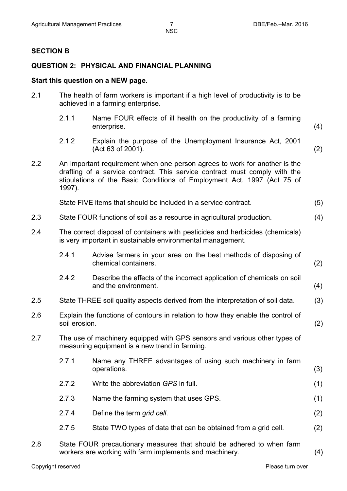#### **SECTION B**

### **QUESTION 2: PHYSICAL AND FINANCIAL PLANNING**

#### **Start this question on a NEW page.**

| 2.1 | The health of farm workers is important if a high level of productivity is to be |
|-----|----------------------------------------------------------------------------------|
|     | achieved in a farming enterprise.                                                |

- 2.1.1 Name FOUR effects of ill health on the productivity of a farming enterprise. (4)
- 2.1.2 Explain the purpose of the Unemployment Insurance Act, 2001 (Act 63 of 2001). (2)
- 2.2 An important requirement when one person agrees to work for another is the drafting of a service contract. This service contract must comply with the stipulations of the Basic Conditions of Employment Act, 1997 (Act 75 of 1997).

| State FIVE items that should be included in a service contract. | (5) |  |
|-----------------------------------------------------------------|-----|--|
|-----------------------------------------------------------------|-----|--|

- 2.3 State FOUR functions of soil as a resource in agricultural production. (4)
- 2.4 The correct disposal of containers with pesticides and herbicides (chemicals) is very important in sustainable environmental management.

| 2.4.1 | Advise farmers in your area on the best methods of disposing of |     |
|-------|-----------------------------------------------------------------|-----|
|       | chemical containers.                                            | (2) |

- 2.4.2 Describe the effects of the incorrect application of chemicals on soil and the environment. (4)
- 2.5 State THREE soil quality aspects derived from the interpretation of soil data. (3)
- 2.6 Explain the functions of contours in relation to how they enable the control of soil erosion. soil erosion. (2)
- 2.7 The use of machinery equipped with GPS sensors and various other types of measuring equipment is a new trend in farming.
	- 2.7.1 Name any THREE advantages of using such machinery in farm operations. (3)
	- 2.7.2 Write the abbreviation *GPS* in full. (1)
	- 2.7.3 Name the farming system that uses GPS. (1)
	- 2.7.4 Define the term *grid cell*. (2)
	- 2.7.5 State TWO types of data that can be obtained from a grid cell. (2)
- 2.8 State FOUR precautionary measures that should be adhered to when farm workers are working with farm implements and machinery. (4)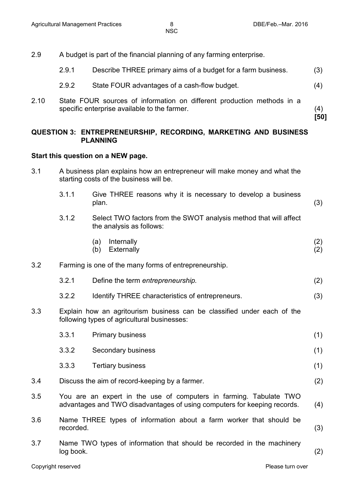2.9 A budget is part of the financial planning of any farming enterprise.

| 2.9.1 | Describe THREE primary aims of a budget for a farm business. | (3) |
|-------|--------------------------------------------------------------|-----|
|-------|--------------------------------------------------------------|-----|

- 2.9.2 State FOUR advantages of a cash-flow budget. (4)
- 2.10 State FOUR sources of information on different production methods in a specific enterprise available to the farmer. (4)

**[50]**

### **QUESTION 3: ENTREPRENEURSHIP, RECORDING, MARKETING AND BUSINESS PLANNING**

#### **Start this question on a NEW page.**

- 3.1 A business plan explains how an entrepreneur will make money and what the starting costs of the business will be.
	- 3.1.1 Give THREE reasons why it is necessary to develop a business plan. (3)
	- 3.1.2 Select TWO factors from the SWOT analysis method that will affect the analysis as follows:
		- (a) Internally (b) Externally (2) (2)

#### 3.2 Farming is one of the many forms of entrepreneurship.

- 3.2.1 Define the term *entrepreneurship.* (2)
- 3.2.2 Identify THREE characteristics of entrepreneurs. (3)
- 3.3 Explain how an agritourism business can be classified under each of the following types of agricultural businesses:

|         | 3.3.1 | <b>Primary business</b>                                            | (1) |
|---------|-------|--------------------------------------------------------------------|-----|
|         | 3.3.2 | Secondary business                                                 | (1) |
|         | 3.3.3 | <b>Tertiary business</b>                                           | (1) |
| 3.4     |       | Discuss the aim of record-keeping by a farmer.                     | (2) |
| $3.5\,$ |       | You are an expert in the use of computers in farming. Tabulate TWO |     |

- advantages and TWO disadvantages of using computers for keeping records. (4)
- 3.6 Name THREE types of information about a farm worker that should be recorded. (3)
- 3.7 Name TWO types of information that should be recorded in the machinery log book. (2)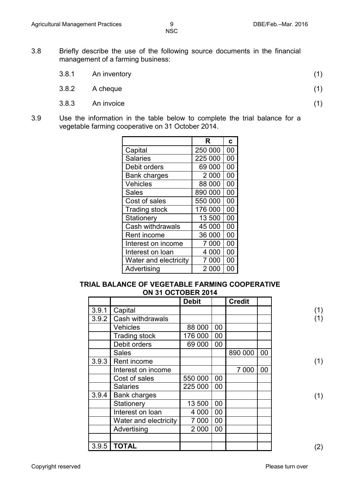- 3.8 Briefly describe the use of the following source documents in the financial management of a farming business:
	- 3.8.1 An inventory (1)
	- $3.8.2$  A cheque (1)
	- $3.8.3$  An invoice (1)
- 3.9 Use the information in the table below to complete the trial balance for a vegetable farming cooperative on 31 October 2014.

|                       | R       | C  |
|-----------------------|---------|----|
| Capital               | 250 000 | 00 |
| <b>Salaries</b>       | 225 000 | 00 |
| Debit orders          | 69 000  | 00 |
| <b>Bank charges</b>   | 2 0 0 0 | 00 |
| Vehicles              | 88 000  | 00 |
| <b>Sales</b>          | 890 000 | 00 |
| Cost of sales         | 550 000 | 00 |
| <b>Trading stock</b>  | 176 000 | 00 |
| Stationery            | 13 500  | 00 |
| Cash withdrawals      | 45 000  | 00 |
| Rent income           | 36 000  | 00 |
| Interest on income    | 7 000   | 00 |
| Interest on loan      | 4 000   | 00 |
| Water and electricity | 7 000   | 00 |
| Advertising           | 2 000   | OC |

## **TRIAL BALANCE OF VEGETABLE FARMING COOPERATIVE ON 31 OCTOBER 2014**

|       |                       | <b>Debit</b> |        | <b>Credit</b> |    |
|-------|-----------------------|--------------|--------|---------------|----|
| 3.9.1 | Capital               |              |        |               |    |
| 3.9.2 | Cash withdrawals      |              |        |               |    |
|       | <b>Vehicles</b>       | 88 000       | 00     |               |    |
|       | <b>Trading stock</b>  | 176 000      | 00     |               |    |
|       | Debit orders          | 69 000       | $00\,$ |               |    |
|       | <b>Sales</b>          |              |        | 890 000       | 00 |
| 3.9.3 | Rent income           |              |        |               |    |
|       | Interest on income    |              |        | 7 0 0 0       | 00 |
|       | Cost of sales         | 550 000      | 00     |               |    |
|       | <b>Salaries</b>       | 225 000      | 00     |               |    |
| 3.9.4 | <b>Bank charges</b>   |              |        |               |    |
|       | Stationery            | 13 500       | 00     |               |    |
|       | Interest on loan      | 4 0 0 0      | 00     |               |    |
|       | Water and electricity | 7 0 0 0      | 00     |               |    |
|       | Advertising           | 2 0 0 0      | 00     |               |    |
|       |                       |              |        |               |    |
| 3.9.5 | <b>TOTAL</b>          |              |        |               |    |

(2)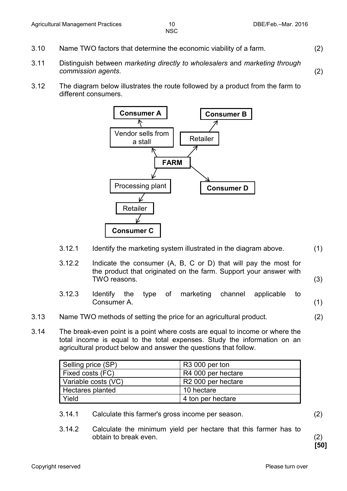- 3.10 Name TWO factors that determine the economic viability of a farm. (2)
- 3.11 Distinguish between *marketing directly to wholesalers* and *marketing through commission agents*. (2)
- 3.12 The diagram below illustrates the route followed by a product from the farm to different consumers.



|      | 3.12.1 | Identify the marketing system illustrated in the diagram above.                                                                                                 |     |  |  |  |
|------|--------|-----------------------------------------------------------------------------------------------------------------------------------------------------------------|-----|--|--|--|
|      | 3.12.2 | Indicate the consumer $(A, B, C \text{ or } D)$ that will pay the most for<br>the product that originated on the farm. Support your answer with<br>TWO reasons. | (3) |  |  |  |
|      | 3.12.3 | type of marketing channel<br>the<br><b>Identify</b><br>applicable<br>to<br>Consumer A.                                                                          | (1) |  |  |  |
| 3.13 |        | Name TWO methods of setting the price for an agricultural product.                                                                                              | (2) |  |  |  |

3.14 The break-even point is a point where costs are equal to income or where the total income is equal to the total expenses. Study the information on an agricultural product below and answer the questions that follow.

| Selling price (SP)      | R <sub>3</sub> 000 per ton     |
|-------------------------|--------------------------------|
| <b>Fixed costs (FC)</b> | R4 000 per hectare             |
| Variable costs (VC)     | R <sub>2</sub> 000 per hectare |
| <b>Hectares planted</b> | 10 hectare                     |
| <b>Yield</b>            | 4 ton per hectare              |

- 3.14.1 Calculate this farmer's gross income per season. (2)
- 3.14.2 Calculate the minimum yield per hectare that this farmer has to obtain to break even. (2)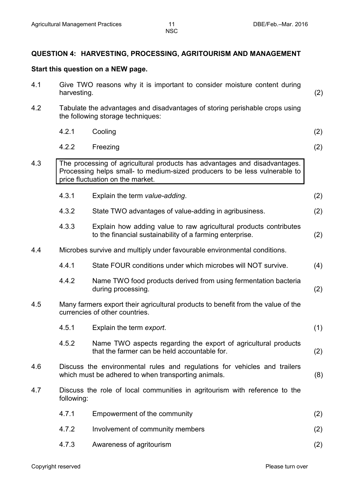# **QUESTION 4: HARVESTING, PROCESSING, AGRITOURISM AND MANAGEMENT**

# **Start this question on a NEW page.**

| 4.1 | Give TWO reasons why it is important to consider moisture content during<br>harvesting. |                                                                                                                                                                                             |     |
|-----|-----------------------------------------------------------------------------------------|---------------------------------------------------------------------------------------------------------------------------------------------------------------------------------------------|-----|
| 4.2 |                                                                                         | Tabulate the advantages and disadvantages of storing perishable crops using<br>the following storage techniques:                                                                            |     |
|     | 4.2.1                                                                                   | Cooling                                                                                                                                                                                     | (2) |
|     | 4.2.2                                                                                   | Freezing                                                                                                                                                                                    | (2) |
| 4.3 |                                                                                         | The processing of agricultural products has advantages and disadvantages.<br>Processing helps small- to medium-sized producers to be less vulnerable to<br>price fluctuation on the market. |     |
|     | 4.3.1                                                                                   | Explain the term value-adding.                                                                                                                                                              | (2) |
|     | 4.3.2                                                                                   | State TWO advantages of value-adding in agribusiness.                                                                                                                                       | (2) |
|     | 4.3.3                                                                                   | Explain how adding value to raw agricultural products contributes<br>to the financial sustainability of a farming enterprise.                                                               | (2) |
| 4.4 |                                                                                         | Microbes survive and multiply under favourable environmental conditions.                                                                                                                    |     |
|     | 4.4.1                                                                                   | State FOUR conditions under which microbes will NOT survive.                                                                                                                                | (4) |
|     | 4.4.2                                                                                   | Name TWO food products derived from using fermentation bacteria<br>during processing.                                                                                                       | (2) |
| 4.5 |                                                                                         | Many farmers export their agricultural products to benefit from the value of the<br>currencies of other countries.                                                                          |     |
|     | 4.5.1                                                                                   | Explain the term export.                                                                                                                                                                    | (1) |
|     | 4.5.2                                                                                   | Name TWO aspects regarding the export of agricultural products<br>that the farmer can be held accountable for.                                                                              | (2) |
| 4.6 |                                                                                         | Discuss the environmental rules and regulations for vehicles and trailers<br>which must be adhered to when transporting animals.                                                            | (8) |
| 4.7 | following:                                                                              | Discuss the role of local communities in agritourism with reference to the                                                                                                                  |     |
|     | 4.7.1                                                                                   | Empowerment of the community                                                                                                                                                                | (2) |
|     | 4.7.2                                                                                   | Involvement of community members                                                                                                                                                            | (2) |
|     | 4.7.3                                                                                   | Awareness of agritourism                                                                                                                                                                    | (2) |